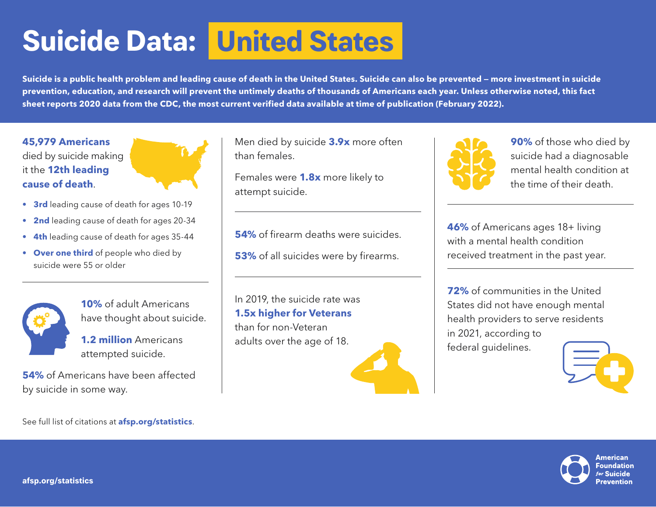## **United States Suicide Data:**

**Suicide is a public health problem and leading cause of death in the United States. Suicide can also be prevented — more investment in suicide prevention, education, and research will prevent the untimely deaths of thousands of Americans each year. Unless otherwise noted, this fact sheet reports 2020 data from the CDC, the most current verified data available at time of publication (February 2022).** 

**45,979 Americans**  died by suicide making it the **12th leading cause of death**.



- **• 3rd** leading cause of death for ages 10-19
- **• 2nd** leading cause of death for ages 20-34
- **• 4th** leading cause of death for ages 35-44
- **• Over one third** of people who died by suicide were 55 or older



**10%** of adult Americans have thought about suicide.

**1.2 million** Americans attempted suicide.

**54%** of Americans have been affected by suicide in some way.

See full list of citations at **afsp.org/statistics**.

Men died by suicide **3.9x** more often than females.

Females were **1.8x** more likely to attempt suicide.

**54%** of firearm deaths were suicides.

**53%** of all suicides were by firearms.

In 2019, the suicide rate was **1.5x higher for Veterans**  than for non-Veteran adults over the age of 18.





**90%** of those who died by suicide had a diagnosable mental health condition at the time of their death.

**46%** of Americans ages 18+ living with a mental health condition received treatment in the past year.

**72%** of communities in the United States did not have enough mental health providers to serve residents in 2021, according to federal guidelines.





American **Foundation**